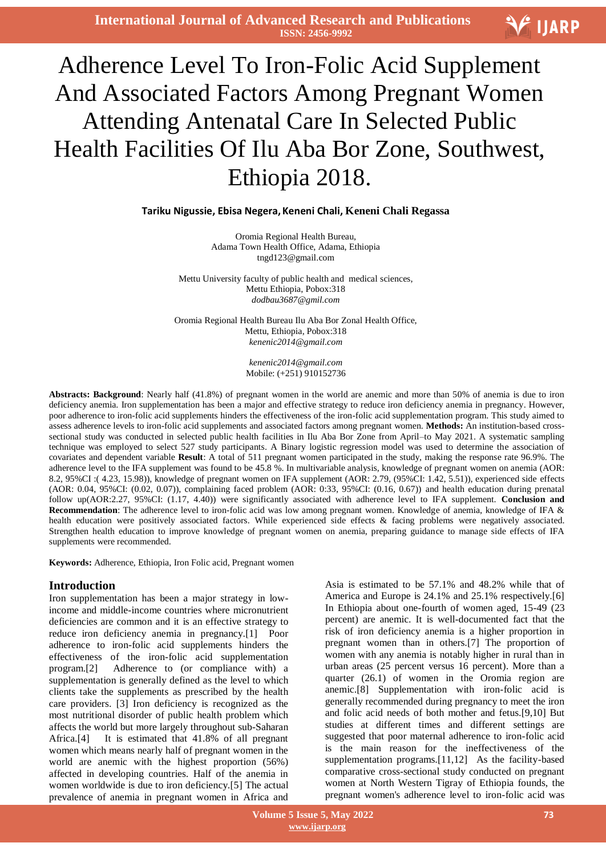**International Journal of Advanced Research and Publications ISSN: 2456-9992**



# $\overline{a}$ Adherence Level To Iron-Folic Acid Supplement And Associated Factors Among Pregnant Women Attending Antenatal Care In Selected Public Health Facilities Of Ilu Aba Bor Zone, Southwest, Ethiopia 2018.

#### **Tariku Nigussie, Ebisa Negera, Keneni Chali, Keneni Chali Regassa**

Oromia Regional Health Bureau, Adama Town Health Office, Adama, Ethiopia tngd123@gmail.com

Mettu University faculty of public health and medical sciences, Mettu Ethiopia, Pobox:318 *dodbau3687@gmil.com*

Oromia Regional Health Bureau Ilu Aba Bor Zonal Health Office, Mettu, Ethiopia, Pobox:318 *kenenic2014@gmail.com*

> *kenenic2014@gmail.com* Mobile: (+251) 910152736

**Abstracts: Background**: Nearly half (41.8%) of pregnant women in the world are anemic and more than 50% of anemia is due to iron deficiency anemia. Iron supplementation has been a major and effective strategy to reduce iron deficiency anemia in pregnancy. However, poor adherence to iron-folic acid supplements hinders the effectiveness of the iron-folic acid supplementation program. This study aimed to assess adherence levels to iron-folic acid supplements and associated factors among pregnant women. **Methods:** An institution-based crosssectional study was conducted in selected public health facilities in Ilu Aba Bor Zone from April–to May 2021. A systematic sampling technique was employed to select 527 study participants. A Binary logistic regression model was used to determine the association of covariates and dependent variable **Result**: A total of 511 pregnant women participated in the study, making the response rate 96.9%. The adherence level to the IFA supplement was found to be 45.8 %. In multivariable analysis, knowledge of pregnant women on anemia (AOR: 8.2, 95%CI :( 4.23, 15.98)), knowledge of pregnant women on IFA supplement (AOR: 2.79, (95%CI: 1.42, 5.51)), experienced side effects (AOR: 0.04, 95%CI: (0.02, 0.07)), complaining faced problem (AOR: 0:33, 95%CI: (0.16, 0.67)) and health education during prenatal follow up(AOR:2.27, 95%CI: (1.17, 4.40)) were significantly associated with adherence level to IFA supplement. **Conclusion and Recommendation**: The adherence level to iron-folic acid was low among pregnant women. Knowledge of anemia, knowledge of IFA & health education were positively associated factors. While experienced side effects & facing problems were negatively associated. Strengthen health education to improve knowledge of pregnant women on anemia, preparing guidance to manage side effects of IFA supplements were recommended.

**Keywords:** Adherence, Ethiopia, Iron Folic acid, Pregnant women

#### **Introduction**

Iron supplementation has been a major strategy in lowincome and middle-income countries where micronutrient deficiencies are common and it is an effective strategy to reduce iron deficiency anemia in pregnancy.[1] Poor adherence to iron-folic acid supplements hinders the effectiveness of the iron-folic acid supplementation program.[2] Adherence to (or compliance with) a supplementation is generally defined as the level to which clients take the supplements as prescribed by the health care providers. [3] Iron deficiency is recognized as the most nutritional disorder of public health problem which affects the world but more largely throughout sub-Saharan Africa.[4] It is estimated that 41.8% of all pregnant women which means nearly half of pregnant women in the world are anemic with the highest proportion (56%) affected in developing countries. Half of the anemia in women worldwide is due to iron deficiency.[5] The actual prevalence of anemia in pregnant women in Africa and

Asia is estimated to be 57.1% and 48.2% while that of America and Europe is 24.1% and 25.1% respectively.[6] In Ethiopia about one-fourth of women aged, 15-49 (23 percent) are anemic. It is well-documented fact that the risk of iron deficiency anemia is a higher proportion in pregnant women than in others.[7] The proportion of women with any anemia is notably higher in rural than in urban areas (25 percent versus 16 percent). More than a quarter (26.1) of women in the Oromia region are anemic.[8] Supplementation with iron-folic acid is generally recommended during pregnancy to meet the iron and folic acid needs of both mother and fetus.[9,10] But studies at different times and different settings are suggested that poor maternal adherence to iron-folic acid is the main reason for the ineffectiveness of the supplementation programs.[11,12] As the facility-based comparative cross-sectional study conducted on pregnant women at North Western Tigray of Ethiopia founds, the pregnant women's adherence level to iron-folic acid was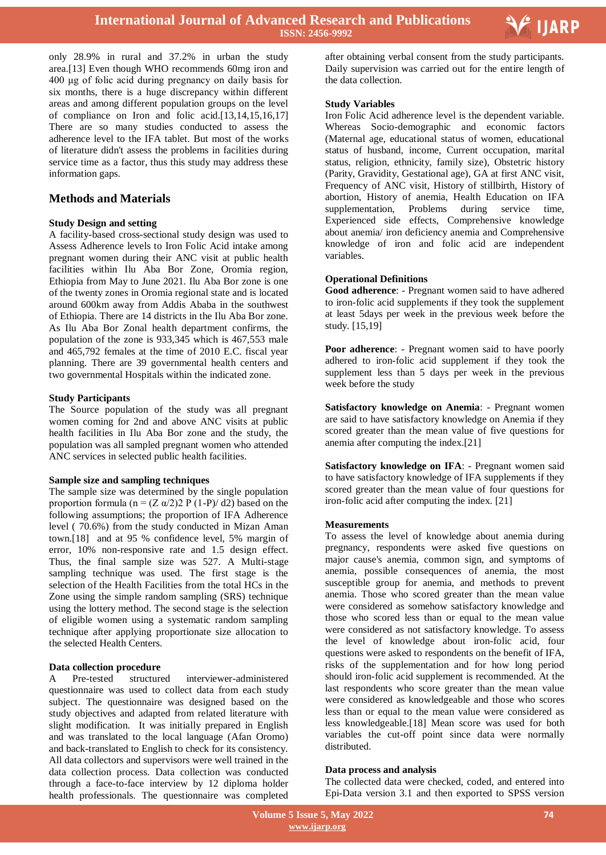

only 28.9% in rural and 37.2% in urban the study area.[13] Even though WHO recommends 60mg iron and 400 μg of folic acid during pregnancy on daily basis for six months, there is a huge discrepancy within different areas and among different population groups on the level of compliance on Iron and folic acid.[13,14,15,16,17] There are so many studies conducted to assess the adherence level to the IFA tablet. But most of the works of literature didn't assess the problems in facilities during service time as a factor, thus this study may address these information gaps.

# **Methods and Materials**

#### **Study Design and setting**

A facility-based cross-sectional study design was used to Assess Adherence levels to Iron Folic Acid intake among pregnant women during their ANC visit at public health facilities within Ilu Aba Bor Zone, Oromia region, Ethiopia from May to June 2021. Ilu Aba Bor zone is one of the twenty zones in Oromia regional state and is located around 600km away from Addis Ababa in the southwest of Ethiopia. There are 14 districts in the Ilu Aba Bor zone. As Ilu Aba Bor Zonal health department confirms, the population of the zone is 933,345 which is 467,553 male and 465,792 females at the time of 2010 E.C. fiscal year planning. There are 39 governmental health centers and two governmental Hospitals within the indicated zone.

#### **Study Participants**

The Source population of the study was all pregnant women coming for 2nd and above ANC visits at public health facilities in Ilu Aba Bor zone and the study, the population was all sampled pregnant women who attended ANC services in selected public health facilities.

#### **Sample size and sampling techniques**

The sample size was determined by the single population proportion formula ( $n = (Z \alpha/2)2 P (1-P)/d2$ ) based on the following assumptions; the proportion of IFA Adherence level ( 70.6%) from the study conducted in Mizan Aman town.[18] and at 95 % confidence level, 5% margin of error, 10% non-responsive rate and 1.5 design effect. Thus, the final sample size was 527. A Multi-stage sampling technique was used. The first stage is the selection of the Health Facilities from the total HCs in the Zone using the simple random sampling (SRS) technique using the lottery method. The second stage is the selection of eligible women using a systematic random sampling technique after applying proportionate size allocation to the selected Health Centers.

#### **Data collection procedure**

A Pre-tested structured interviewer-administered questionnaire was used to collect data from each study subject. The questionnaire was designed based on the study objectives and adapted from related literature with slight modification. It was initially prepared in English and was translated to the local language (Afan Oromo) and back-translated to English to check for its consistency. All data collectors and supervisors were well trained in the data collection process. Data collection was conducted through a face-to-face interview by 12 diploma holder health professionals. The questionnaire was completed  after obtaining verbal consent from the study participants. Daily supervision was carried out for the entire length of the data collection.

#### **Study Variables**

Iron Folic Acid adherence level is the dependent variable. Whereas Socio-demographic and economic factors (Maternal age, educational status of women, educational status of husband, income, Current occupation, marital status, religion, ethnicity, family size), Obstetric history (Parity, Gravidity, Gestational age), GA at first ANC visit, Frequency of ANC visit, History of stillbirth, History of abortion, History of anemia, Health Education on IFA supplementation, Problems during service time, Experienced side effects, Comprehensive knowledge about anemia/ iron deficiency anemia and Comprehensive knowledge of iron and folic acid are independent variables.

#### **Operational Definitions**

**Good adherence**: - Pregnant women said to have adhered to iron-folic acid supplements if they took the supplement at least 5days per week in the previous week before the study. [15,19]

**Poor adherence**: - Pregnant women said to have poorly adhered to iron-folic acid supplement if they took the supplement less than 5 days per week in the previous week before the study

**Satisfactory knowledge on Anemia**: - Pregnant women are said to have satisfactory knowledge on Anemia if they scored greater than the mean value of five questions for anemia after computing the index.[21]

**Satisfactory knowledge on IFA**: - Pregnant women said to have satisfactory knowledge of IFA supplements if they scored greater than the mean value of four questions for iron-folic acid after computing the index. [21]

#### **Measurements**

To assess the level of knowledge about anemia during pregnancy, respondents were asked five questions on major cause's anemia, common sign, and symptoms of anemia, possible consequences of anemia, the most susceptible group for anemia, and methods to prevent anemia. Those who scored greater than the mean value were considered as somehow satisfactory knowledge and those who scored less than or equal to the mean value were considered as not satisfactory knowledge. To assess the level of knowledge about iron-folic acid, four questions were asked to respondents on the benefit of IFA, risks of the supplementation and for how long period should iron-folic acid supplement is recommended. At the last respondents who score greater than the mean value were considered as knowledgeable and those who scores less than or equal to the mean value were considered as less knowledgeable.[18] Mean score was used for both variables the cut-off point since data were normally distributed.

#### **Data process and analysis**

The collected data were checked, coded, and entered into Epi-Data version 3.1 and then exported to SPSS version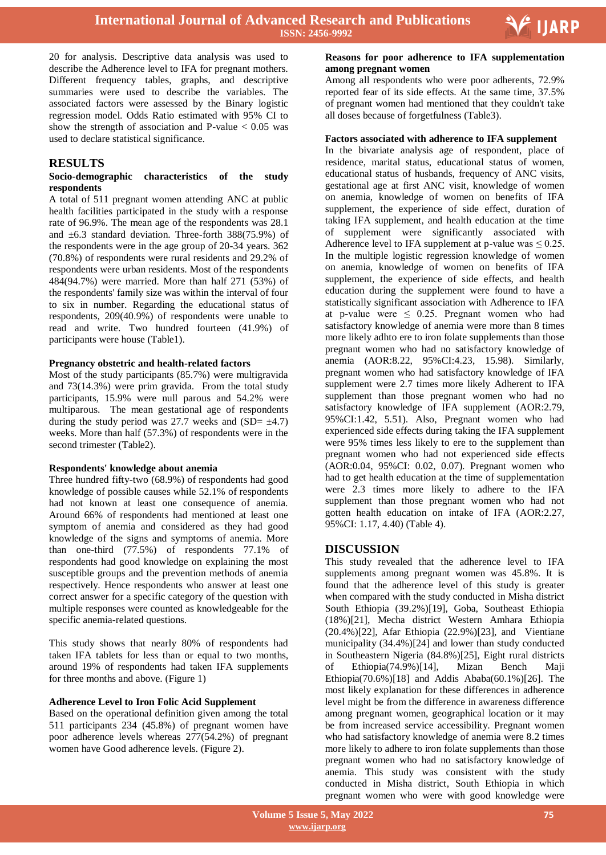

20 for analysis. Descriptive data analysis was used to describe the Adherence level to IFA for pregnant mothers. Different frequency tables, graphs, and descriptive summaries were used to describe the variables. The associated factors were assessed by the Binary logistic regression model. Odds Ratio estimated with 95% CI to show the strength of association and P-value  $< 0.05$  was used to declare statistical significance.

# **RESULTS**

#### **Socio-demographic characteristics of the study respondents**

A total of 511 pregnant women attending ANC at public health facilities participated in the study with a response rate of 96.9%. The mean age of the respondents was 28.1 and  $\pm 6.3$  standard deviation. Three-forth 388(75.9%) of the respondents were in the age group of 20-34 years. 362 (70.8%) of respondents were rural residents and 29.2% of respondents were urban residents. Most of the respondents 484(94.7%) were married. More than half 271 (53%) of the respondents' family size was within the interval of four to six in number. Regarding the educational status of respondents, 209(40.9%) of respondents were unable to read and write. Two hundred fourteen (41.9%) of participants were house (Table1).

#### **Pregnancy obstetric and health-related factors**

Most of the study participants (85.7%) were multigravida and 73(14.3%) were prim gravida. From the total study participants, 15.9% were null parous and 54.2% were multiparous. The mean gestational age of respondents during the study period was 27.7 weeks and  $(SD= \pm 4.7)$ weeks. More than half (57.3%) of respondents were in the second trimester (Table2).

#### **Respondents' knowledge about anemia**

Three hundred fifty-two (68.9%) of respondents had good knowledge of possible causes while 52.1% of respondents had not known at least one consequence of anemia. Around 66% of respondents had mentioned at least one symptom of anemia and considered as they had good knowledge of the signs and symptoms of anemia. More than one-third (77.5%) of respondents 77.1% of respondents had good knowledge on explaining the most susceptible groups and the prevention methods of anemia respectively. Hence respondents who answer at least one correct answer for a specific category of the question with multiple responses were counted as knowledgeable for the specific anemia-related questions.

This study shows that nearly 80% of respondents had taken IFA tablets for less than or equal to two months, around 19% of respondents had taken IFA supplements for three months and above. (Figure 1)

#### **Adherence Level to Iron Folic Acid Supplement**

Based on the operational definition given among the total 511 participants 234 (45.8%) of pregnant women have poor adherence levels whereas 277(54.2%) of pregnant women have Good adherence levels. (Figure 2).

# **Reasons for poor adherence to IFA supplementation among pregnant women**

Among all respondents who were poor adherents, 72.9% reported fear of its side effects. At the same time, 37.5% of pregnant women had mentioned that they couldn't take all doses because of forgetfulness (Table3).

#### **Factors associated with adherence to IFA supplement**

In the bivariate analysis age of respondent, place of residence, marital status, educational status of women, educational status of husbands, frequency of ANC visits, gestational age at first ANC visit, knowledge of women on anemia, knowledge of women on benefits of IFA supplement, the experience of side effect, duration of taking IFA supplement, and health education at the time of supplement were significantly associated with Adherence level to IFA supplement at p-value was  $\leq 0.25$ . In the multiple logistic regression knowledge of women on anemia, knowledge of women on benefits of IFA supplement, the experience of side effects, and health education during the supplement were found to have a statistically significant association with Adherence to IFA at p-value were  $\leq$  0.25. Pregnant women who had satisfactory knowledge of anemia were more than 8 times more likely adhto ere to iron folate supplements than those pregnant women who had no satisfactory knowledge of anemia (AOR:8.22, 95%CI:4.23, 15.98). Similarly, pregnant women who had satisfactory knowledge of IFA supplement were 2.7 times more likely Adherent to IFA supplement than those pregnant women who had no satisfactory knowledge of IFA supplement (AOR:2.79, 95%CI:1.42, 5.51). Also, Pregnant women who had experienced side effects during taking the IFA supplement were 95% times less likely to ere to the supplement than pregnant women who had not experienced side effects (AOR:0.04, 95%CI: 0.02, 0.07). Pregnant women who had to get health education at the time of supplementation were 2.3 times more likely to adhere to the IFA supplement than those pregnant women who had not gotten health education on intake of IFA (AOR:2.27, 95%CI: 1.17, 4.40) (Table 4).

#### **DISCUSSION**

This study revealed that the adherence level to IFA supplements among pregnant women was 45.8%. It is found that the adherence level of this study is greater when compared with the study conducted in Misha district South Ethiopia (39.2%)[19], Goba, Southeast Ethiopia (18%)[21], Mecha district Western Amhara Ethiopia (20.4%)[22], Afar Ethiopia (22.9%)[23], and Vientiane municipality (34.4%)[24] and lower than study conducted in Southeastern Nigeria (84.8%)[25], Eight rural districts of Ethiopia(74.9%)[14], Mizan Bench Maji Ethiopia(70.6%)[18] and Addis Ababa(60.1%)[26]. The most likely explanation for these differences in adherence level might be from the difference in awareness difference among pregnant women, geographical location or it may be from increased service accessibility. Pregnant women who had satisfactory knowledge of anemia were 8.2 times more likely to adhere to iron folate supplements than those pregnant women who had no satisfactory knowledge of anemia. This study was consistent with the study conducted in Misha district, South Ethiopia in which pregnant women who were with good knowledge were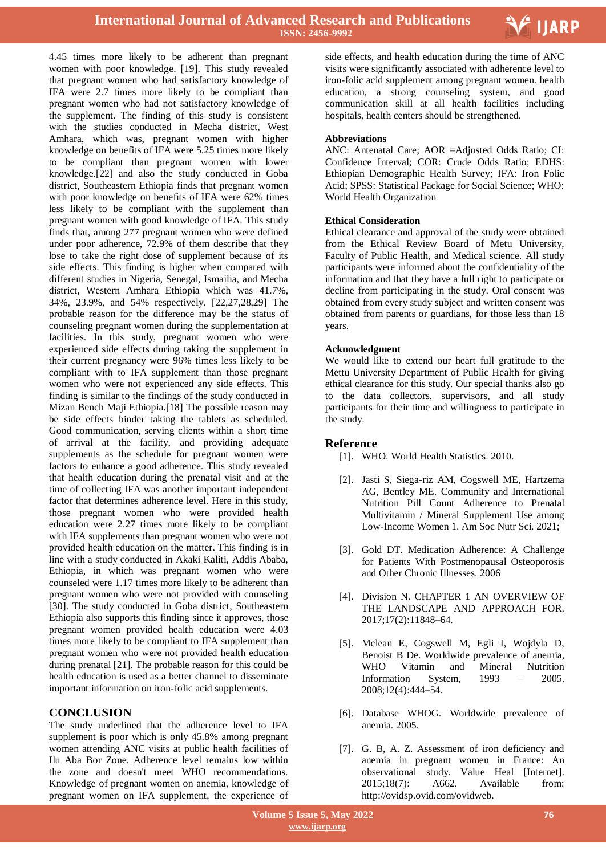

4.45 times more likely to be adherent than pregnant women with poor knowledge. [19]. This study revealed that pregnant women who had satisfactory knowledge of IFA were 2.7 times more likely to be compliant than pregnant women who had not satisfactory knowledge of the supplement. The finding of this study is consistent with the studies conducted in Mecha district, West Amhara, which was, pregnant women with higher knowledge on benefits of IFA were 5.25 times more likely to be compliant than pregnant women with lower knowledge.[22] and also the study conducted in Goba district, Southeastern Ethiopia finds that pregnant women with poor knowledge on benefits of IFA were 62% times less likely to be compliant with the supplement than pregnant women with good knowledge of IFA. This study finds that, among 277 pregnant women who were defined under poor adherence, 72.9% of them describe that they lose to take the right dose of supplement because of its side effects. This finding is higher when compared with different studies in Nigeria, Senegal, Ismailia, and Mecha district, Western Amhara Ethiopia which was 41.7%, 34%, 23.9%, and 54% respectively. [22,27,28,29] The probable reason for the difference may be the status of counseling pregnant women during the supplementation at facilities. In this study, pregnant women who were experienced side effects during taking the supplement in their current pregnancy were 96% times less likely to be compliant with to IFA supplement than those pregnant women who were not experienced any side effects. This finding is similar to the findings of the study conducted in Mizan Bench Maji Ethiopia.[18] The possible reason may be side effects hinder taking the tablets as scheduled. Good communication, serving clients within a short time of arrival at the facility, and providing adequate supplements as the schedule for pregnant women were factors to enhance a good adherence. This study revealed that health education during the prenatal visit and at the time of collecting IFA was another important independent factor that determines adherence level. Here in this study, those pregnant women who were provided health education were 2.27 times more likely to be compliant with IFA supplements than pregnant women who were not provided health education on the matter. This finding is in line with a study conducted in Akaki Kaliti, Addis Ababa, Ethiopia, in which was pregnant women who were counseled were 1.17 times more likely to be adherent than pregnant women who were not provided with counseling [30]. The study conducted in Goba district, Southeastern Ethiopia also supports this finding since it approves, those pregnant women provided health education were 4.03 times more likely to be compliant to IFA supplement than pregnant women who were not provided health education during prenatal [21]. The probable reason for this could be health education is used as a better channel to disseminate important information on iron-folic acid supplements.

# **CONCLUSION**

The study underlined that the adherence level to IFA supplement is poor which is only 45.8% among pregnant women attending ANC visits at public health facilities of Ilu Aba Bor Zone. Adherence level remains low within the zone and doesn't meet WHO recommendations. Knowledge of pregnant women on anemia, knowledge of pregnant women on IFA supplement, the experience of  side effects, and health education during the time of ANC visits were significantly associated with adherence level to iron-folic acid supplement among pregnant women. health education, a strong counseling system, and good communication skill at all health facilities including hospitals, health centers should be strengthened.

#### **Abbreviations**

ANC: Antenatal Care; AOR =Adjusted Odds Ratio; CI: Confidence Interval; COR: Crude Odds Ratio; EDHS: Ethiopian Demographic Health Survey; IFA: Iron Folic Acid; SPSS: Statistical Package for Social Science; WHO: World Health Organization

#### **Ethical Consideration**

Ethical clearance and approval of the study were obtained from the Ethical Review Board of Metu University, Faculty of Public Health, and Medical science. All study participants were informed about the confidentiality of the information and that they have a full right to participate or decline from participating in the study. Oral consent was obtained from every study subject and written consent was obtained from parents or guardians, for those less than 18 years.

#### **Acknowledgment**

We would like to extend our heart full gratitude to the Mettu University Department of Public Health for giving ethical clearance for this study. Our special thanks also go to the data collectors, supervisors, and all study participants for their time and willingness to participate in the study.

#### **Reference**

- [1]. WHO. World Health Statistics. 2010.
- [2]. Jasti S, Siega-riz AM, Cogswell ME, Hartzema AG, Bentley ME. Community and International Nutrition Pill Count Adherence to Prenatal Multivitamin / Mineral Supplement Use among Low-Income Women 1. Am Soc Nutr Sci. 2021;
- [3]. Gold DT. Medication Adherence: A Challenge for Patients With Postmenopausal Osteoporosis and Other Chronic Illnesses. 2006
- [4]. Division N. CHAPTER 1 AN OVERVIEW OF THE LANDSCAPE AND APPROACH FOR. 2017;17(2):11848–64.
- [5]. Mclean E, Cogswell M, Egli I, Wojdyla D, Benoist B De. Worldwide prevalence of anemia, WHO Vitamin and Mineral Nutrition Information System, 1993 – 2005. 2008;12(4):444–54.
- [6]. Database WHOG. Worldwide prevalence of anemia. 2005.
- [7]. G. B, A. Z. Assessment of iron deficiency and anemia in pregnant women in France: An observational study. Value Heal [Internet]. 2015;18(7): A662. Available from: http://ovidsp.ovid.com/ovidweb.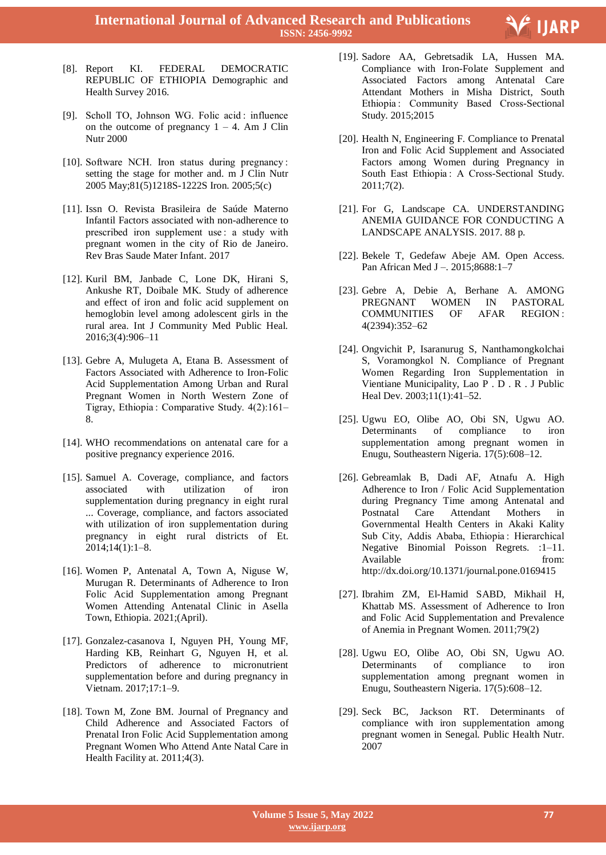

- [8]. Report KI. FEDERAL DEMOCRATIC REPUBLIC OF ETHIOPIA Demographic and Health Survey 2016.
- [9]. Scholl TO, Johnson WG. Folic acid : influence on the outcome of pregnancy  $1 - 4$ . Am J Clin Nutr 2000
- [10]. Software NCH. Iron status during pregnancy : setting the stage for mother and. m J Clin Nutr 2005 May;81(5)1218S-1222S Iron. 2005;5(c)
- [11]. Issn O. Revista Brasileira de Saúde Materno Infantil Factors associated with non-adherence to prescribed iron supplement use : a study with pregnant women in the city of Rio de Janeiro. Rev Bras Saude Mater Infant. 2017
- [12]. Kuril BM, Janbade C, Lone DK, Hirani S, Ankushe RT, Doibale MK. Study of adherence and effect of iron and folic acid supplement on hemoglobin level among adolescent girls in the rural area. Int J Community Med Public Heal. 2016;3(4):906–11
- [13]. Gebre A, Mulugeta A, Etana B. Assessment of Factors Associated with Adherence to Iron-Folic Acid Supplementation Among Urban and Rural Pregnant Women in North Western Zone of Tigray, Ethiopia : Comparative Study. 4(2):161– 8.
- [14]. WHO recommendations on antenatal care for a positive pregnancy experience 2016.
- [15]. Samuel A. Coverage, compliance, and factors associated with utilization of iron supplementation during pregnancy in eight rural ... Coverage, compliance, and factors associated with utilization of iron supplementation during pregnancy in eight rural districts of Et. 2014;14(1):1–8.
- [16]. Women P, Antenatal A, Town A, Niguse W, Murugan R. Determinants of Adherence to Iron Folic Acid Supplementation among Pregnant Women Attending Antenatal Clinic in Asella Town, Ethiopia. 2021;(April).
- [17]. Gonzalez-casanova I, Nguyen PH, Young MF, Harding KB, Reinhart G, Nguyen H, et al. Predictors of adherence to micronutrient supplementation before and during pregnancy in Vietnam. 2017;17:1–9.
- [18]. Town M, Zone BM. Journal of Pregnancy and Child Adherence and Associated Factors of Prenatal Iron Folic Acid Supplementation among Pregnant Women Who Attend Ante Natal Care in Health Facility at. 2011;4(3).
- [19]. Sadore AA, Gebretsadik LA, Hussen MA. Compliance with Iron-Folate Supplement and Associated Factors among Antenatal Care Attendant Mothers in Misha District, South Ethiopia : Community Based Cross-Sectional Study. 2015;2015
- [20]. Health N, Engineering F. Compliance to Prenatal Iron and Folic Acid Supplement and Associated Factors among Women during Pregnancy in South East Ethiopia : A Cross-Sectional Study. 2011;7(2).
- [21]. For G, Landscape CA. UNDERSTANDING ANEMIA GUIDANCE FOR CONDUCTING A LANDSCAPE ANALYSIS. 2017. 88 p.
- [22]. Bekele T, Gedefaw Abeje AM. Open Access. Pan African Med J –. 2015;8688:1–7
- [23]. Gebre A, Debie A, Berhane A. AMONG PREGNANT WOMEN IN PASTORAL COMMUNITIES OF AFAR REGION : 4(2394):352–62
- [24]. Ongvichit P, Isaranurug S, Nanthamongkolchai S, Voramongkol N. Compliance of Pregnant Women Regarding Iron Supplementation in Vientiane Municipality, Lao P . D . R . J Public Heal Dev. 2003;11(1):41–52.
- [25]. Ugwu EO, Olibe AO, Obi SN, Ugwu AO. Determinants of compliance to iron supplementation among pregnant women in Enugu, Southeastern Nigeria. 17(5):608–12.
- [26]. Gebreamlak B, Dadi AF, Atnafu A. High Adherence to Iron / Folic Acid Supplementation during Pregnancy Time among Antenatal and Postnatal Care Attendant Mothers in Governmental Health Centers in Akaki Kality Sub City, Addis Ababa, Ethiopia : Hierarchical Negative Binomial Poisson Regrets. :1–11. Available from: http://dx.doi.org/10.1371/journal.pone.0169415
- [27]. Ibrahim ZM, El-Hamid SABD, Mikhail H, Khattab MS. Assessment of Adherence to Iron and Folic Acid Supplementation and Prevalence of Anemia in Pregnant Women. 2011;79(2)
- [28]. Ugwu EO, Olibe AO, Obi SN, Ugwu AO. Determinants of compliance to iron supplementation among pregnant women in Enugu, Southeastern Nigeria. 17(5):608–12.
- [29]. Seck BC, Jackson RT. Determinants of compliance with iron supplementation among pregnant women in Senegal. Public Health Nutr. 2007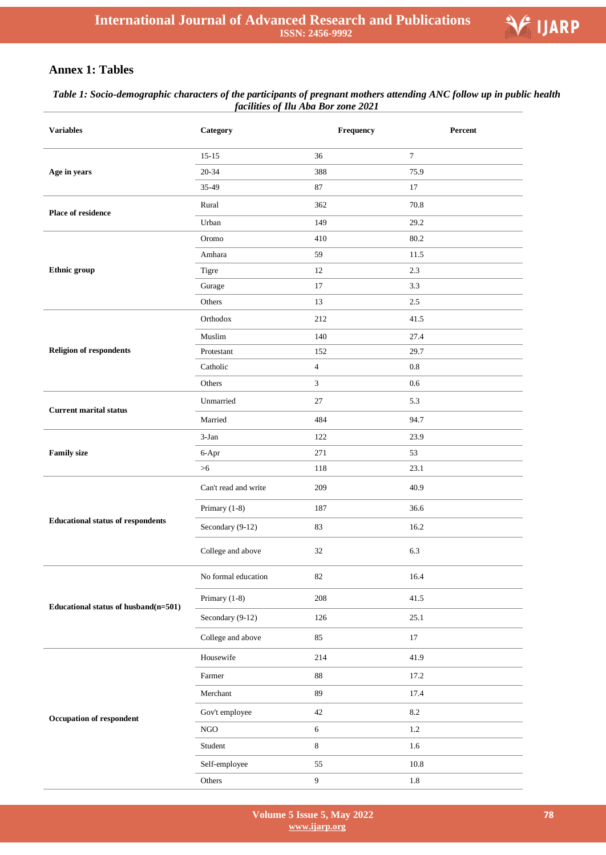

# **Annex 1: Tables**

## *Table 1: Socio-demographic characters of the participants of pregnant mothers attending ANC follow up in public health facilities of Ilu Aba Bor zone 2021*

| <b>Variables</b>                         | Category             | Frequency        | Percent   |
|------------------------------------------|----------------------|------------------|-----------|
|                                          | $15 - 15$            | 36               | $\tau$    |
| Age in years                             | 20-34                | 388              | 75.9      |
|                                          | 35-49                | 87               | 17        |
| <b>Place of residence</b>                | Rural                | 362              | 70.8      |
|                                          | Urban                | 149              | 29.2      |
|                                          | Oromo                | 410              | 80.2      |
|                                          | Amhara               | 59               | 11.5      |
| Ethnic group                             | Tigre                | 12               | 2.3       |
|                                          | Gurage               | $17\,$           | 3.3       |
|                                          | Others               | 13               | 2.5       |
|                                          | Orthodox             | 212              | 41.5      |
|                                          | Muslim               | 140              | 27.4      |
| <b>Religion of respondents</b>           | Protestant           | 152              | 29.7      |
|                                          | Catholic             | $\overline{4}$   | $\rm 0.8$ |
|                                          | Others               | 3                | $0.6\,$   |
| <b>Current marital status</b>            | Unmarried            | 27               | 5.3       |
|                                          | Married              | 484              | 94.7      |
|                                          | $3-Ian$              | 122              | 23.9      |
| <b>Family size</b>                       | 6-Apr                | 271              | 53        |
|                                          | >6                   | 118              | 23.1      |
|                                          | Can't read and write | 209              | 40.9      |
|                                          | Primary (1-8)        | 187              | 36.6      |
| <b>Educational status of respondents</b> | Secondary (9-12)     | 83               | 16.2      |
|                                          | College and above    | 32               | 6.3       |
|                                          | No formal education  | 82               | 16.4      |
| Educational status of husband(n=501)     | Primary (1-8)        | 208              | 41.5      |
|                                          | Secondary (9-12)     | 126              | 25.1      |
|                                          | College and above    | 85               | 17        |
|                                          | Housewife            | 214              | 41.9      |
|                                          | Farmer               | $88\,$           | 17.2      |
|                                          | Merchant             | 89               | 17.4      |
| Occupation of respondent                 | Gov't employee       | $42\,$           | $8.2\,$   |
|                                          | $_{\rm NGO}$         | 6                | $1.2\,$   |
|                                          | Student              | $\,8\,$          | 1.6       |
|                                          | Self-employee        | 55               | 10.8      |
|                                          | Others               | $\boldsymbol{9}$ | 1.8       |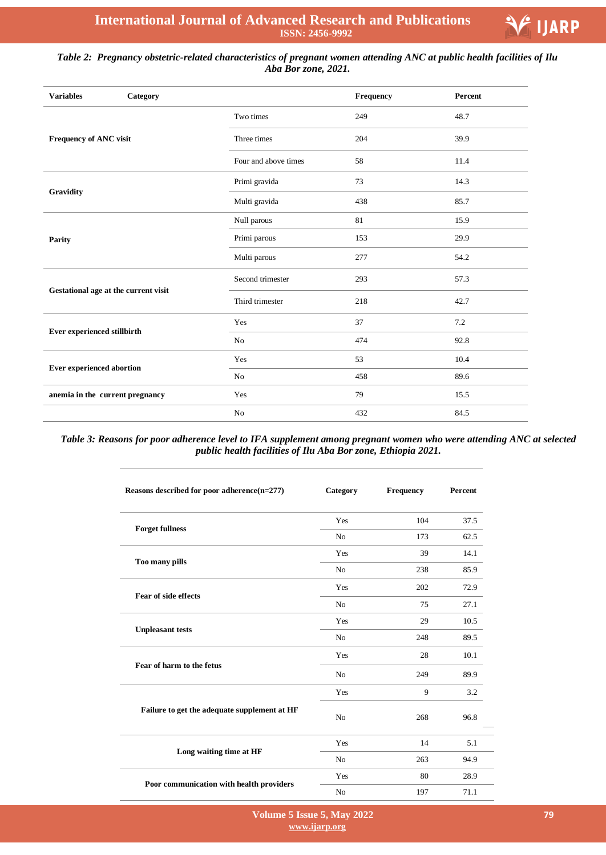

# *Table 2: Pregnancy obstetric-related characteristics of pregnant women attending ANC at public health facilities of Ilu Aba Bor zone, 2021.*

| <b>Variables</b><br>Category         |                      | Frequency | Percent |
|--------------------------------------|----------------------|-----------|---------|
|                                      | Two times            | 249       | 48.7    |
| Frequency of ANC visit               | Three times          | 204       | 39.9    |
|                                      | Four and above times | 58        | 11.4    |
|                                      | Primi gravida        | 73        | 14.3    |
| Gravidity                            | Multi gravida        | 438       | 85.7    |
|                                      | Null parous          | 81        | 15.9    |
| Parity                               | Primi parous         | 153       | 29.9    |
|                                      | Multi parous         | 277       | 54.2    |
|                                      | Second trimester     | 293       | 57.3    |
| Gestational age at the current visit | Third trimester      | 218       | 42.7    |
|                                      | Yes                  | 37        | 7.2     |
| Ever experienced stillbirth          | No                   | 474       | 92.8    |
|                                      | Yes                  | 53        | 10.4    |
| <b>Ever experienced abortion</b>     | No                   | 458       | 89.6    |
| anemia in the current pregnancy      | Yes                  | 79        | 15.5    |
|                                      | No                   | 432       | 84.5    |

*Table 3: Reasons for poor adherence level to IFA supplement among pregnant women who were attending ANC at selected public health facilities of Ilu Aba Bor zone, Ethiopia 2021.*

| Reasons described for poor adherence $(n=277)$ | Category       | Frequency | Percent |
|------------------------------------------------|----------------|-----------|---------|
|                                                | Yes            | 104       | 37.5    |
| <b>Forget fullness</b>                         | N <sub>0</sub> | 173       | 62.5    |
|                                                | Yes            | 39        | 14.1    |
| Too many pills                                 | No             | 238       | 85.9    |
|                                                | Yes            | 202       | 72.9    |
| Fear of side effects                           | N <sub>0</sub> | 75        | 27.1    |
|                                                | Yes            | 29        | 10.5    |
| <b>Unpleasant tests</b>                        | No             | 248       | 89.5    |
|                                                | Yes            | 28        | 10.1    |
| Fear of harm to the fetus                      | N <sub>0</sub> | 249       | 89.9    |
|                                                | Yes            | 9         | 3.2     |
| Failure to get the adequate supplement at HF   | N <sub>o</sub> | 268       | 96.8    |
|                                                | Yes            | 14        | 5.1     |
| Long waiting time at HF                        | N <sub>0</sub> | 263       | 94.9    |
|                                                | Yes            | 80        | 28.9    |
| Poor communication with health providers       | N <sub>0</sub> | 197       | 71.1    |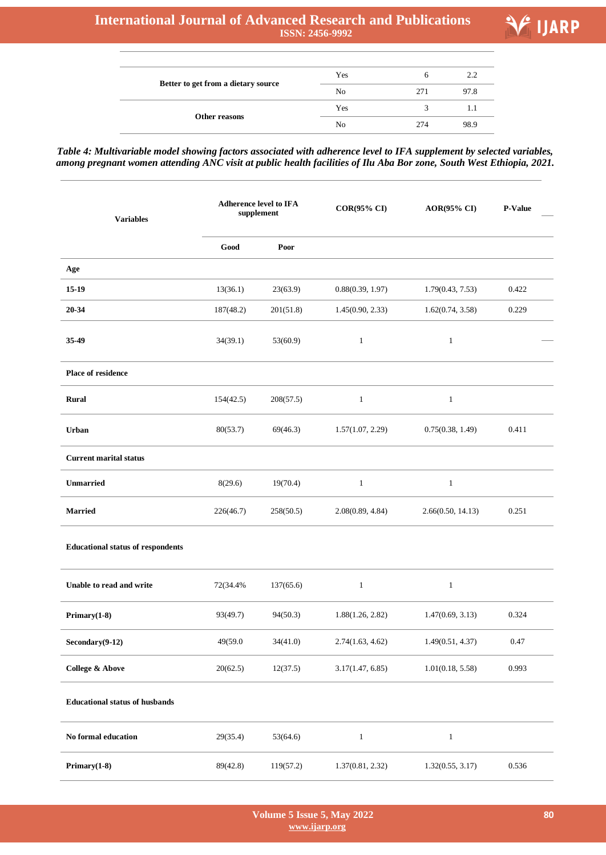# **International Journal of Advanced Research and Publications ISSN: 2456-9992**

 $\overline{\phantom{0}}$ 

÷



|                                     | Yes | h   | 2.2  |
|-------------------------------------|-----|-----|------|
| Better to get from a dietary source | No  | 271 | 97.8 |
| Other reasons                       | Yes | 2   |      |
|                                     | No  | 274 | 98.9 |

*Table 4: Multivariable model showing factors associated with adherence level to IFA supplement by selected variables, among pregnant women attending ANC visit at public health facilities of Ilu Aba Bor zone, South West Ethiopia, 2021.*

| <b>Variables</b>                         | <b>Adherence level to IFA</b><br>supplement |           | <b>COR(95% CI)</b> | <b>AOR(95% CI)</b> | <b>P-Value</b> |
|------------------------------------------|---------------------------------------------|-----------|--------------------|--------------------|----------------|
|                                          | Good                                        | Poor      |                    |                    |                |
| Age                                      |                                             |           |                    |                    |                |
| $15-19$                                  | 13(36.1)                                    | 23(63.9)  | 0.88(0.39, 1.97)   | 1.79(0.43, 7.53)   | 0.422          |
| 20-34                                    | 187(48.2)                                   | 201(51.8) | 1.45(0.90, 2.33)   | 1.62(0.74, 3.58)   | 0.229          |
| 35-49                                    | 34(39.1)                                    | 53(60.9)  | $\mathbf{1}$       | $\mathbf{1}$       |                |
| Place of residence                       |                                             |           |                    |                    |                |
| <b>Rural</b>                             | 154(42.5)                                   | 208(57.5) | $\mathbf{1}$       | $\mathbf{1}$       |                |
| Urban                                    | 80(53.7)                                    | 69(46.3)  | 1.57(1.07, 2.29)   | 0.75(0.38, 1.49)   | 0.411          |
| <b>Current marital status</b>            |                                             |           |                    |                    |                |
| <b>Unmarried</b>                         | 8(29.6)                                     | 19(70.4)  | $\mathbf{1}$       | $\mathbf{1}$       |                |
| <b>Married</b>                           | 226(46.7)                                   | 258(50.5) | 2.08(0.89, 4.84)   | 2.66(0.50, 14.13)  | 0.251          |
| <b>Educational status of respondents</b> |                                             |           |                    |                    |                |
| Unable to read and write                 | 72(34.4%                                    | 137(65.6) | $\mathbf{1}$       | $\mathbf{1}$       |                |
| $Primary(1-8)$                           | 93(49.7)                                    | 94(50.3)  | 1.88(1.26, 2.82)   | 1.47(0.69, 3.13)   | 0.324          |
| $Secondary(9-12)$                        | 49(59.0                                     | 34(41.0)  | 2.74(1.63, 4.62)   | 1.49(0.51, 4.37)   | 0.47           |
| <b>College &amp; Above</b>               | 20(62.5)                                    | 12(37.5)  | 3.17(1.47, 6.85)   | 1.01(0.18, 5.58)   | 0.993          |
| <b>Educational status of husbands</b>    |                                             |           |                    |                    |                |
| No formal education                      | 29(35.4)                                    | 53(64.6)  | $\mathbf{1}$       | $\mathbf{1}$       |                |
| $Primary(1-8)$                           | 89(42.8)                                    | 119(57.2) | 1.37(0.81, 2.32)   | 1.32(0.55, 3.17)   | 0.536          |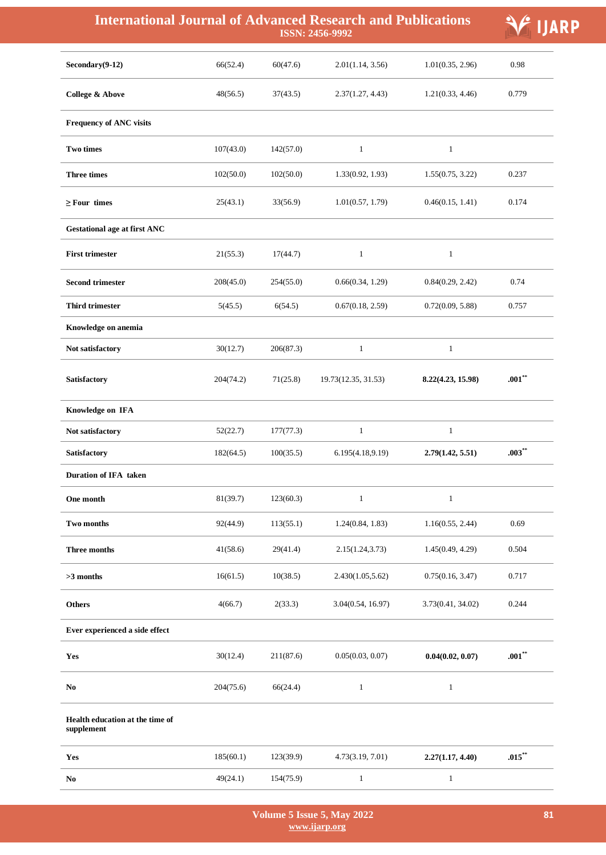| <b>International Journal of Advanced Research and Publications</b> |           |           | ISSN: 2456-9992     |                   | <b>ARP</b> |
|--------------------------------------------------------------------|-----------|-----------|---------------------|-------------------|------------|
| $Secondary(9-12)$                                                  | 66(52.4)  | 60(47.6)  | 2.01(1.14, 3.56)    | 1.01(0.35, 2.96)  | 0.98       |
| <b>College &amp; Above</b>                                         | 48(56.5)  | 37(43.5)  | 2.37(1.27, 4.43)    | 1.21(0.33, 4.46)  | 0.779      |
| <b>Frequency of ANC visits</b>                                     |           |           |                     |                   |            |
| <b>Two times</b>                                                   | 107(43.0) | 142(57.0) | $\mathbf{1}$        | $\mathbf{1}$      |            |
| <b>Three times</b>                                                 | 102(50.0) | 102(50.0) | 1.33(0.92, 1.93)    | 1.55(0.75, 3.22)  | 0.237      |
| $\geq$ Four times                                                  | 25(43.1)  | 33(56.9)  | 1.01(0.57, 1.79)    | 0.46(0.15, 1.41)  | 0.174      |
| <b>Gestational age at first ANC</b>                                |           |           |                     |                   |            |
| <b>First trimester</b>                                             | 21(55.3)  | 17(44.7)  | $\mathbf{1}$        | $\mathbf{1}$      |            |
| <b>Second trimester</b>                                            | 208(45.0) | 254(55.0) | 0.66(0.34, 1.29)    | 0.84(0.29, 2.42)  | 0.74       |
| <b>Third trimester</b>                                             | 5(45.5)   | 6(54.5)   | 0.67(0.18, 2.59)    | 0.72(0.09, 5.88)  | 0.757      |
| Knowledge on anemia                                                |           |           |                     |                   |            |
| Not satisfactory                                                   | 30(12.7)  | 206(87.3) | $\mathbf{1}$        | $\mathbf{1}$      |            |
| Satisfactory                                                       | 204(74.2) | 71(25.8)  | 19.73(12.35, 31.53) | 8.22(4.23, 15.98) | $.001***$  |
| Knowledge on IFA                                                   |           |           |                     |                   |            |
| Not satisfactory                                                   | 52(22.7)  | 177(77.3) | $\mathbf{1}$        | $\mathbf{1}$      |            |
| Satisfactory                                                       | 182(64.5) | 100(35.5) | 6.195(4.18,9.19)    | 2.79(1.42, 5.51)  | $.003***$  |
| Duration of IFA taken                                              |           |           |                     |                   |            |
| One month                                                          | 81(39.7)  | 123(60.3) | $\mathbf{1}$        | $\mathbf{1}$      |            |
| Two months                                                         | 92(44.9)  | 113(55.1) | 1.24(0.84, 1.83)    | 1.16(0.55, 2.44)  | 0.69       |
| <b>Three months</b>                                                | 41(58.6)  | 29(41.4)  | 2.15(1.24, 3.73)    | 1.45(0.49, 4.29)  | 0.504      |
| $>3$ months                                                        | 16(61.5)  | 10(38.5)  | 2.430(1.05, 5.62)   | 0.75(0.16, 3.47)  | 0.717      |
| <b>Others</b>                                                      | 4(66.7)   | 2(33.3)   | 3.04(0.54, 16.97)   | 3.73(0.41, 34.02) | 0.244      |
| Ever experienced a side effect                                     |           |           |                     |                   |            |
| Yes                                                                | 30(12.4)  | 211(87.6) | 0.05(0.03, 0.07)    | 0.04(0.02, 0.07)  | $.001***$  |
| No                                                                 | 204(75.6) | 66(24.4)  | $\mathbf{1}$        | $\mathbf{1}$      |            |
| Health education at the time of<br>supplement                      |           |           |                     |                   |            |
| Yes                                                                | 185(60.1) | 123(39.9) | 4.73(3.19, 7.01)    | 2.27(1.17, 4.40)  | $.015***$  |
| No                                                                 | 49(24.1)  | 154(75.9) | $\mathbf{1}$        | $\mathbf{1}$      |            |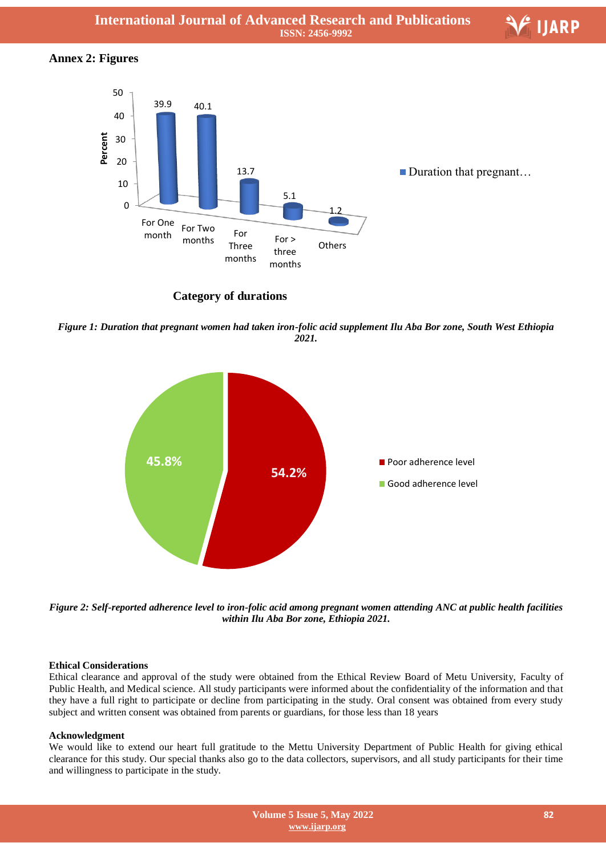# **Annex 2: Figures**



**Category of durations** 

*Figure 1: Duration that pregnant women had taken iron-folic acid supplement Ilu Aba Bor zone, South West Ethiopia 2021.*



*Figure 2: Self-reported adherence level to iron-folic acid among pregnant women attending ANC at public health facilities within Ilu Aba Bor zone, Ethiopia 2021.*

# **Ethical Considerations**

Ethical clearance and approval of the study were obtained from the Ethical Review Board of Metu University, Faculty of Public Health, and Medical science. All study participants were informed about the confidentiality of the information and that they have a full right to participate or decline from participating in the study. Oral consent was obtained from every study subject and written consent was obtained from parents or guardians, for those less than 18 years

# **Acknowledgment**

We would like to extend our heart full gratitude to the Mettu University Department of Public Health for giving ethical clearance for this study. Our special thanks also go to the data collectors, supervisors, and all study participants for their time and willingness to participate in the study.

V IJARP